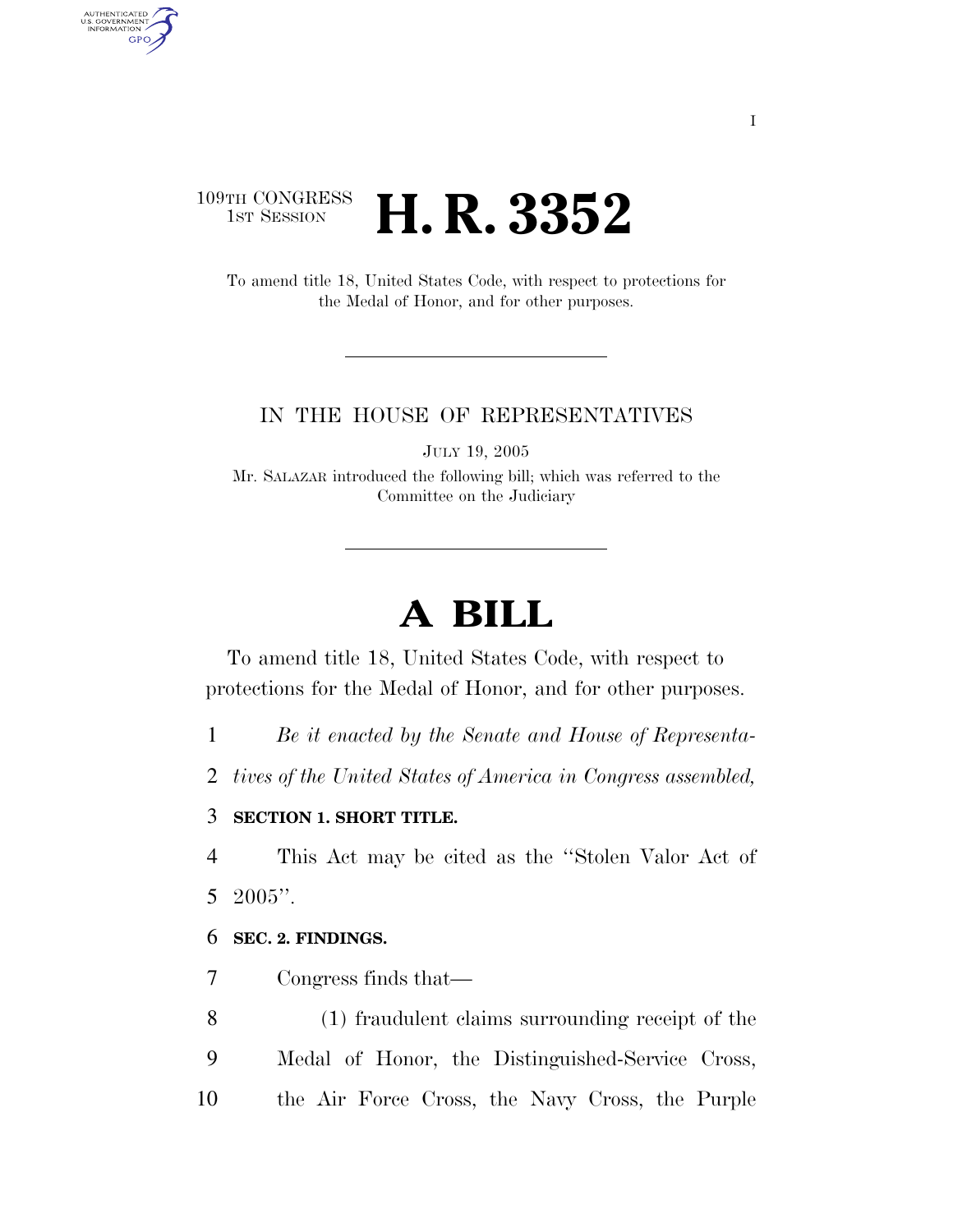# 109TH CONGRESS **1st Session H. R. 3352**

AUTHENTICATED<br>U.S. GOVERNMENT<br>INFORMATION

**GPO** 

To amend title 18, United States Code, with respect to protections for the Medal of Honor, and for other purposes.

### IN THE HOUSE OF REPRESENTATIVES

JULY 19, 2005

Mr. SALAZAR introduced the following bill; which was referred to the Committee on the Judiciary

# **A BILL**

To amend title 18, United States Code, with respect to protections for the Medal of Honor, and for other purposes.

1 *Be it enacted by the Senate and House of Representa-*

2 *tives of the United States of America in Congress assembled,* 

## 3 **SECTION 1. SHORT TITLE.**

4 This Act may be cited as the ''Stolen Valor Act of 5 2005''.

### 6 **SEC. 2. FINDINGS.**

7 Congress finds that—

8 (1) fraudulent claims surrounding receipt of the 9 Medal of Honor, the Distinguished-Service Cross, 10 the Air Force Cross, the Navy Cross, the Purple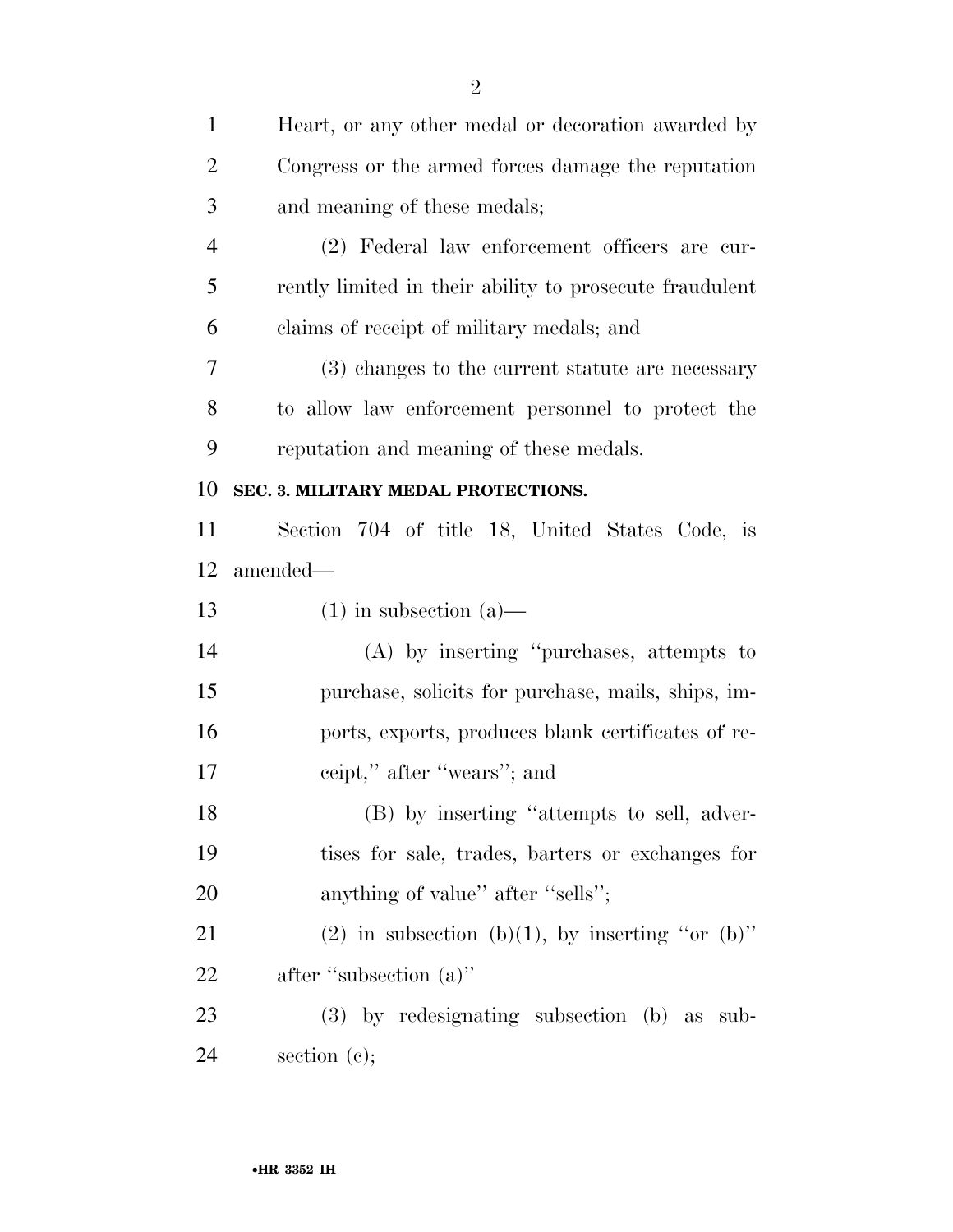| $\mathbf{1}$   | Heart, or any other medal or decoration awarded by      |
|----------------|---------------------------------------------------------|
| $\overline{2}$ | Congress or the armed forces damage the reputation      |
| 3              | and meaning of these medals;                            |
| $\overline{4}$ | (2) Federal law enforcement officers are cur-           |
| 5              | rently limited in their ability to prosecute fraudulent |
| 6              | claims of receipt of military medals; and               |
| 7              | (3) changes to the current statute are necessary        |
| 8              | to allow law enforcement personnel to protect the       |
| 9              | reputation and meaning of these medals.                 |
| 10             | SEC. 3. MILITARY MEDAL PROTECTIONS.                     |
| 11             | Section 704 of title 18, United States Code, is         |
| 12             | amended—                                                |
| 13             | $(1)$ in subsection $(a)$ —                             |
| 14             | (A) by inserting "purchases, attempts to                |
| 15             | purchase, solicits for purchase, mails, ships, im-      |
| 16             | ports, exports, produces blank certificates of re-      |
| 17             | ceipt," after "wears"; and                              |
| 18             | (B) by inserting "attempts to sell, adver-              |
| 19             | tises for sale, trades, barters or exchanges for        |
| 20             | anything of value" after "sells";                       |
| 21             | (2) in subsection (b)(1), by inserting "or (b)"         |
| 22             | after "subsection (a)"                                  |
| 23             | (3) by redesignating subsection (b) as sub-             |
| 24             | section $(c)$ ;                                         |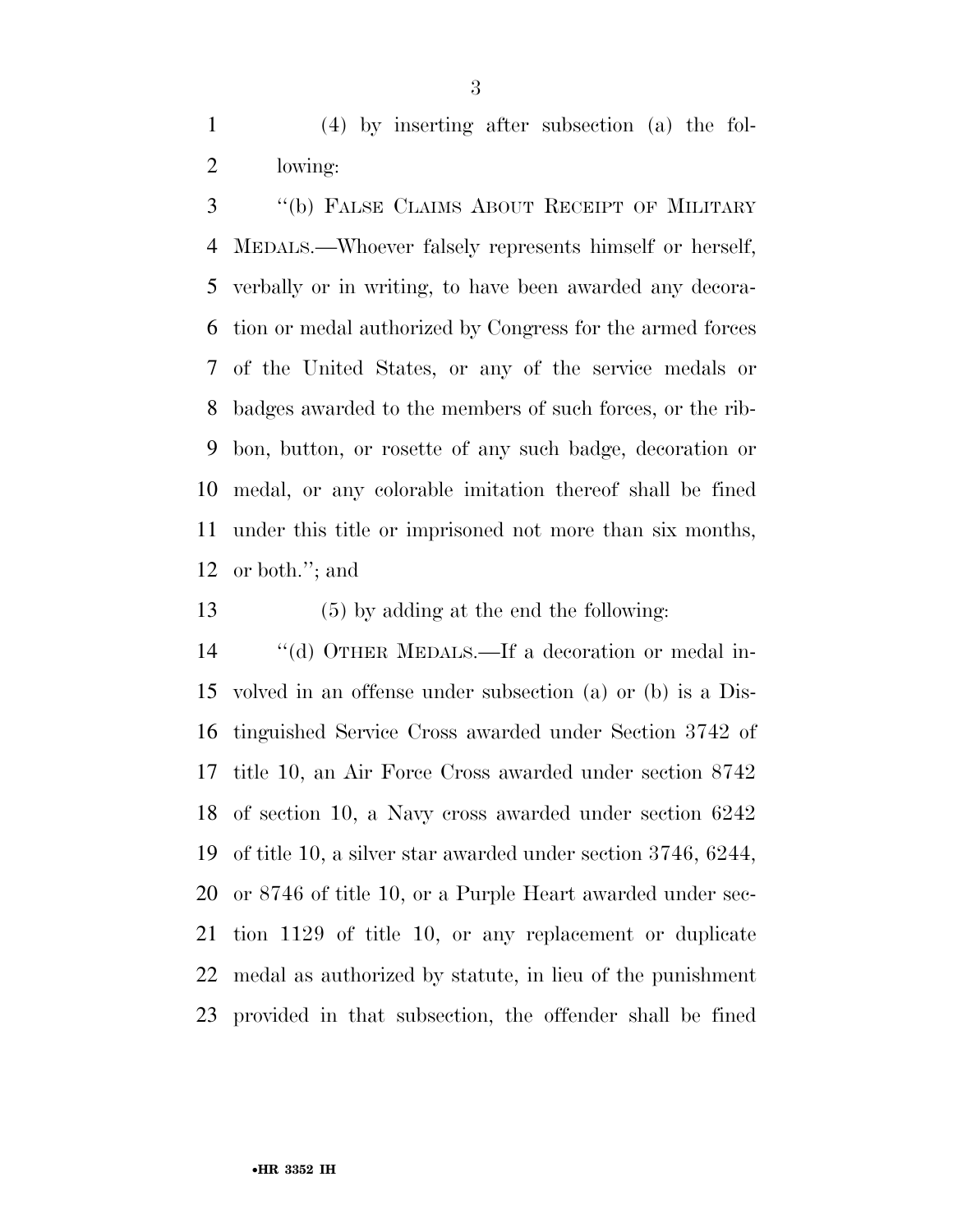(4) by inserting after subsection (a) the fol-lowing:

 ''(b) FALSE CLAIMS ABOUT RECEIPT OF MILITARY MEDALS.—Whoever falsely represents himself or herself, verbally or in writing, to have been awarded any decora- tion or medal authorized by Congress for the armed forces of the United States, or any of the service medals or badges awarded to the members of such forces, or the rib- bon, button, or rosette of any such badge, decoration or medal, or any colorable imitation thereof shall be fined under this title or imprisoned not more than six months, or both.''; and

(5) by adding at the end the following:

 ''(d) OTHER MEDALS.—If a decoration or medal in- volved in an offense under subsection (a) or (b) is a Dis- tinguished Service Cross awarded under Section 3742 of title 10, an Air Force Cross awarded under section 8742 of section 10, a Navy cross awarded under section 6242 of title 10, a silver star awarded under section 3746, 6244, or 8746 of title 10, or a Purple Heart awarded under sec- tion 1129 of title 10, or any replacement or duplicate medal as authorized by statute, in lieu of the punishment provided in that subsection, the offender shall be fined